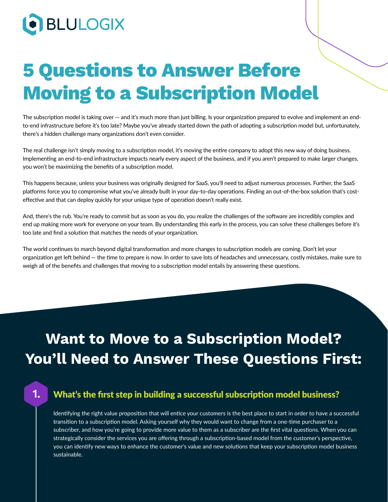# **O** BLULOGIX

**1.**

# **5 Questions to Answer Before Moving to a Subscription Model**

The subscription model is taking over — and it's much more than just billing. Is your organization prepared to evolve and implement an endto-end infrastructure before it's too late? Maybe you've already started down the path of adopting a subscription model but, unfortunately, there's a hidden challenge many organizations don't even consider.

The real challenge isn't simply moving to a subscription model, it's moving the entire company to adopt this new way of doing business. Implementing an end-to-end infrastructure impacts nearly every aspect of the business, and if you aren't prepared to make larger changes, you won't be maximizing the benefits of a subscription model.

This happens because, unless your business was originally designed for SaaS, you'll need to adjust numerous processes. Further, the SaaS platforms force you to compromise what you've already built in your day-to-day operations. Finding an out-of-the-box solution that's costeffective and that can deploy quickly for your unique type of operation doesn't really exist.

And, there's the rub. You're ready to commit but as soon as you do, you realize the challenges of the software are incredibly complex and end up making more work for everyone on your team. By understanding this early in the process, you can solve these challenges before it's too late and find a solution that matches the needs of your organization.

The world continues to march beyond digital transformation and more changes to subscription models are coming. Don't let your organization get left behind — the time to prepare is now. In order to save lots of headaches and unnecessary, costly mistakes, make sure to weigh all of the benefits and challenges that moving to a subscription model entails by answering these questions.

## **Want to Move to a Subscription Model? You'll Need to Answer These Questions First:**

#### What's the first step in building a successful subscription model business?

Identifying the right value proposition that will entice your customers is the best place to start in order to have a successful transition to a subscription model. Asking yourself why they would want to change from a one-time purchaser to a subscriber, and how you're going to provide more value to them as a subscriber are the first vital questions. When you can strategically consider the services you are offering through a subscription-based model from the customer's perspective, you can identify new ways to enhance the customer's value and new solutions that keep your subscription model business sustainable.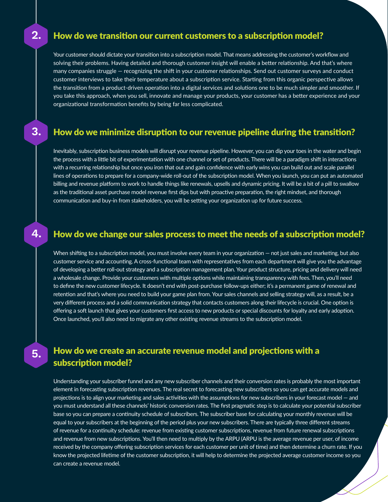#### How do we transition our current customers to a subscription model?

**2.**

**3.**

**4.**

**5.**

Your customer should dictate your transition into a subscription model. That means addressing the customer's workflow and solving their problems. Having detailed and thorough customer insight will enable a better relationship. And that's where many companies struggle — recognizing the shift in your customer relationships. Send out customer surveys and conduct customer interviews to take their temperature about a subscription service. Starting from this organic perspective allows the transition from a product-driven operation into a digital services and solutions one to be much simpler and smoother. If you take this approach, when you sell, innovate and manage your products, your customer has a better experience and your organizational transformation benefits by being far less complicated.

#### How do we minimize disruption to our revenue pipeline during the transition?

Inevitably, subscription business models will disrupt your revenue pipeline. However, you can dip your toes in the water and begin the process with a little bit of experimentation with one channel or set of products. There will be a paradigm shift in interactions with a recurring relationship but once you iron that out and gain confidence with early wins you can build out and scale parallel lines of operations to prepare for a company-wide roll-out of the subscription model. When you launch, you can put an automated billing and revenue platform to work to handle things like renewals, upsells and dynamic pricing. It will be a bit of a pill to swallow as the traditional asset purchase model revenue first dips but with proactive preparation, the right mindset, and thorough communication and buy-in from stakeholders, you will be setting your organization up for future success.

#### How do we change our sales process to meet the needs of a subscription model?

When shifting to a subscription model, you must involve every team in your organization — not just sales and marketing, but also customer service and accounting. A cross-functional team with representatives from each department will give you the advantage of developing a better roll-out strategy and a subscription management plan. Your product structure, pricing and delivery will need a wholesale change. Provide your customers with multiple options while maintaining transparency with fees. Then, you'll need to define the new customer lifecycle. It doesn't end with post-purchase follow-ups either; it's a permanent game of renewal and retention and that's where you need to build your game plan from. Your sales channels and selling strategy will, as a result, be a very different process and a solid communication strategy that contacts customers along their lifecycle is crucial. One option is offering a soft launch that gives your customers first access to new products or special discounts for loyalty and early adoption. Once launched, you'll also need to migrate any other existing revenue streams to the subscription model.

#### How do we create an accurate revenue model and projections with a subscription model?

Understanding your subscriber funnel and any new subscriber channels and their conversion rates is probably the most important element in forecasting subscription revenues. The real secret to forecasting new subscribers so you can get accurate models and projections is to align your marketing and sales activities with the assumptions for new subscribers in your forecast model — and you must understand all these channels' historic conversion rates. The first pragmatic step is to calculate your potential subscriber base so you can prepare a continuity schedule of subscribers. The subscriber base for calculating your monthly revenue will be equal to your subscribers at the beginning of the period plus your new subscribers. There are typically three different streams of revenue for a continuity schedule: revenue from existing customer subscriptions, revenue from future renewal subscriptions and revenue from new subscriptions. You'll then need to multiply by the ARPU (ARPU is the average revenue per user, of income received by the company offering subscription services for each customer per unit of time) and then determine a churn rate. If you know the projected lifetime of the customer subscription, it will help to determine the projected average customer income so you can create a revenue model.